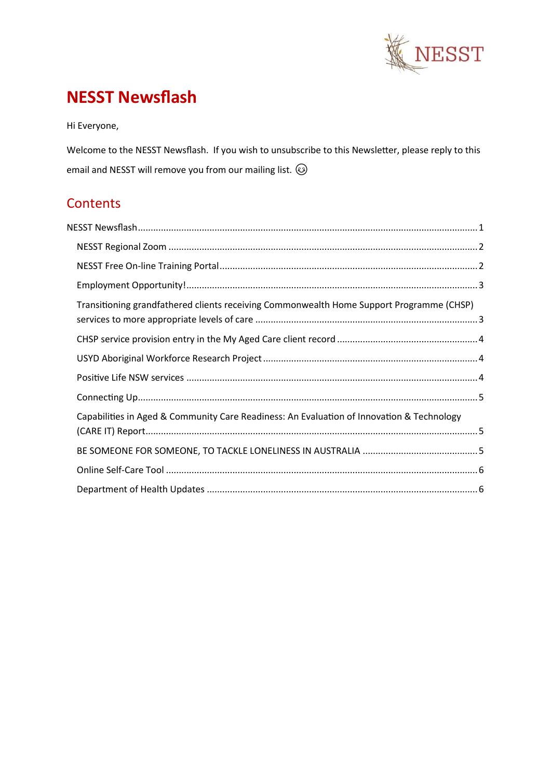

# <span id="page-0-0"></span>**NESST Newsflash**

Hi Everyone,

Welcome to the NESST Newsflash. If you wish to unsubscribe to this Newsletter, please reply to this email and NESST will remove you from our mailing list.  $\circledS$ 

# **Contents**

| Transitioning grandfathered clients receiving Commonwealth Home Support Programme (CHSP)  |  |  |
|-------------------------------------------------------------------------------------------|--|--|
|                                                                                           |  |  |
|                                                                                           |  |  |
|                                                                                           |  |  |
|                                                                                           |  |  |
| Capabilities in Aged & Community Care Readiness: An Evaluation of Innovation & Technology |  |  |
|                                                                                           |  |  |
|                                                                                           |  |  |
|                                                                                           |  |  |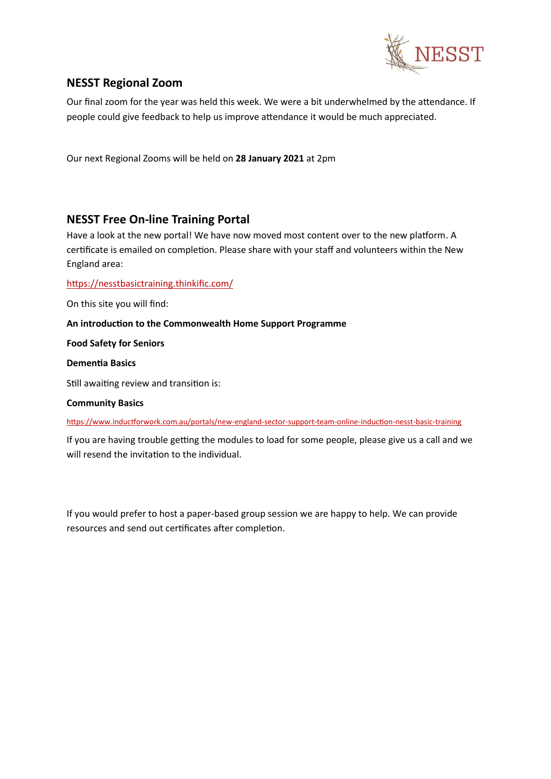

## <span id="page-1-0"></span>**NESST Regional Zoom**

Our final zoom for the year was held this week. We were a bit underwhelmed by the attendance. If people could give feedback to help us improve attendance it would be much appreciated.

Our next Regional Zooms will be held on **28 January 2021** at 2pm

#### <span id="page-1-1"></span>**NESST Free On-line Training Portal**

Have a look at the new portal! We have now moved most content over to the new platform. A certificate is emailed on completion. Please share with your staff and volunteers within the New England area:

#### <https://nesstbasictraining.thinkific.com/>

On this site you will find:

**An introduction to the Commonwealth Home Support Programme**

**Food Safety for Seniors** 

**Dementia Basics**

Still awaiting review and transition is:

**Community Basics**

<https://www.inductforwork.com.au/portals/new-england-sector-support-team-online-induction-nesst-basic-training>

If you are having trouble getting the modules to load for some people, please give us a call and we will resend the invitation to the individual.

If you would prefer to host a paper-based group session we are happy to help. We can provide resources and send out certificates after completion.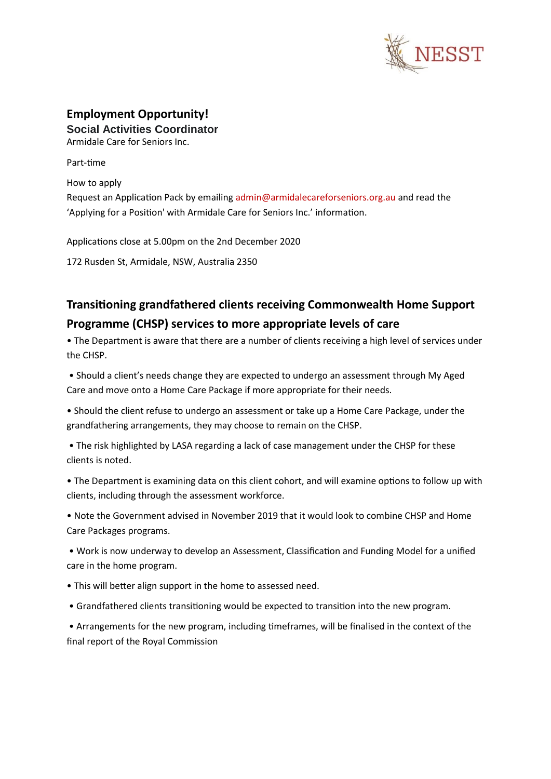

#### <span id="page-2-0"></span>**Employment Opportunity! Social Activities Coordinator**

Armidale Care for Seniors Inc.

Part-time

How to apply Request an Application Pack by emailing admin@armidalecareforseniors.org.au and read the 'Applying for a Position' with Armidale Care for Seniors Inc.' information.

Applications close at 5.00pm on the 2nd December 2020

172 Rusden St, Armidale, NSW, Australia 2350

# <span id="page-2-1"></span>**Transitioning grandfathered clients receiving Commonwealth Home Support Programme (CHSP) services to more appropriate levels of care**

• The Department is aware that there are a number of clients receiving a high level of services under the CHSP.

• Should a client's needs change they are expected to undergo an assessment through My Aged Care and move onto a Home Care Package if more appropriate for their needs.

• Should the client refuse to undergo an assessment or take up a Home Care Package, under the grandfathering arrangements, they may choose to remain on the CHSP.

• The risk highlighted by LASA regarding a lack of case management under the CHSP for these clients is noted.

• The Department is examining data on this client cohort, and will examine options to follow up with clients, including through the assessment workforce.

• Note the Government advised in November 2019 that it would look to combine CHSP and Home Care Packages programs.

• Work is now underway to develop an Assessment, Classification and Funding Model for a unified care in the home program.

- This will better align support in the home to assessed need.
- Grandfathered clients transitioning would be expected to transition into the new program.

• Arrangements for the new program, including timeframes, will be finalised in the context of the final report of the Royal Commission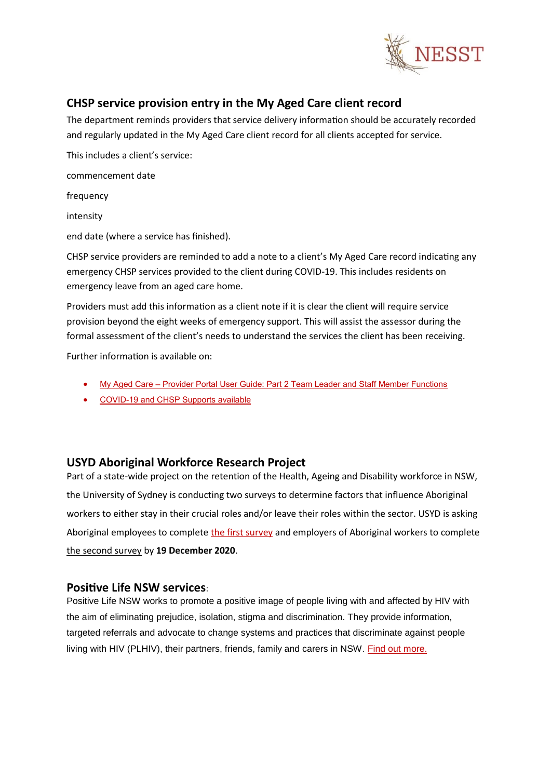

## <span id="page-3-0"></span>**CHSP service provision entry in the My Aged Care client record**

The department reminds providers that service delivery information should be accurately recorded and regularly updated in the My Aged Care client record for all clients accepted for service.

This includes a client's service:

commencement date

frequency

intensity

end date (where a service has finished).

CHSP service providers are reminded to add a note to a client's My Aged Care record indicating any emergency CHSP services provided to the client during COVID-19. This includes residents on emergency leave from an aged care home.

Providers must add this information as a client note if it is clear the client will require service provision beyond the eight weeks of emergency support. This will assist the assessor during the formal assessment of the client's needs to understand the services the client has been receiving.

Further information is available on:

- My Aged Care [Provider Portal User Guide: Part 2 Team Leader and Staff Member Functions](https://health.us10.list-manage.com/track/click?u=1108de8332cef333bc1956686&id=30bc1d9c18&e=39efcbb117)
- [COVID-19 and CHSP Supports available](https://health.us10.list-manage.com/track/click?u=1108de8332cef333bc1956686&id=4d20b0f3b2&e=39efcbb117)

#### <span id="page-3-1"></span>**USYD Aboriginal Workforce Research Project**

Part of a state-wide project on the retention of the Health, Ageing and Disability workforce in NSW, the University of Sydney is conducting two surveys to determine factors that influence Aboriginal workers to either stay in their crucial roles and/or leave their roles within the sector. USYD is asking Aboriginal employees to complete the first [survey](https://communityconnective.com.au/index.php?option=com_acymailing&ctrl=url&subid=5150&urlid=138567&mailid=510) and employers of Aboriginal workers to complete the [second](https://communityconnective.com.au/index.php?option=com_acymailing&ctrl=url&subid=5150&urlid=138568&mailid=510) survey by **19 December 2020**.

#### <span id="page-3-2"></span>**Positive Life NSW services:**

Positive Life NSW works to promote a positive image of people living with and affected by HIV with the aim of eliminating prejudice, isolation, stigma and discrimination. They provide information, targeted referrals and advocate to change systems and practices that discriminate against people living with HIV (PLHIV), their partners, friends, family and carers in NSW. Find out [more.](https://communityconnective.com.au/index.php?option=com_acymailing&ctrl=url&subid=5150&urlid=138572&mailid=510)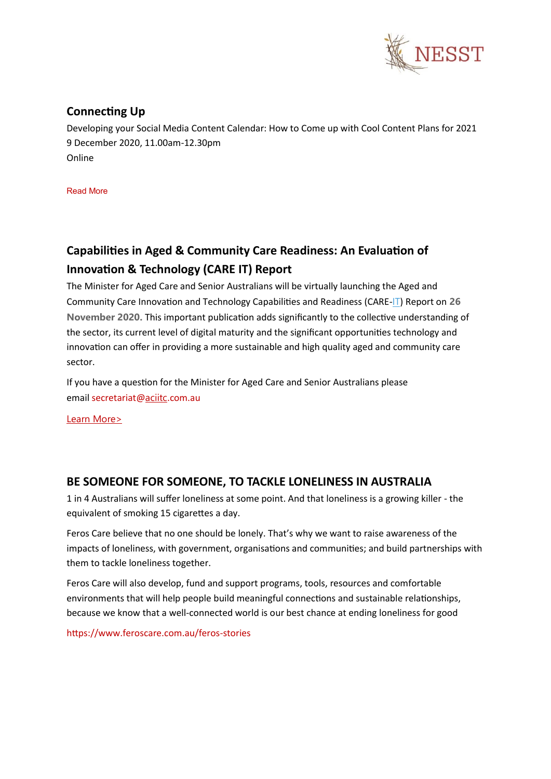

# <span id="page-4-0"></span>**Connecting Up**

Developing your Social Media Content Calendar: How to Come up with Cool Content Plans for 2021 9 December 2020, 11.00am-12.30pm Online

[Read](https://communityconnective.com.au/index.php?option=com_content&view=article&id=3650:developing-your-social-media-content-calendar-how-to-come-up-with-cool-content-plans-for-2021-9-dec-2020-online&catid=17&utm_source=newsletter_510&utm_medium=email&utm_campaign=ncoss-sector-e-news-25-november-2020&acm=5150_510) More

# <span id="page-4-1"></span>**Capabilities in Aged & Community Care Readiness: An Evaluation of Innovation & Technology (CARE [IT\)](http://www.aciitc.com.au/glossary/it/) Report**

The Minister for Aged Care and Senior Australians will be virtually launching the Aged and Community Care Innovation and Technology Capabilities and Readiness (CARE-[IT](http://www.aciitc.com.au/glossary/it/)) Report on **26 November 2020.** This important publication adds significantly to the collective understanding of the sector, its current level of digital maturity and the significant opportunities technology and innovation can offer in providing a more sustainable and high quality aged and community care sector.

If you have a question for the Minister for Aged Care and Senior Australians please email secretariat@[aciitc](http://www.aciitc.com.au/glossary/aciitc-3/).com.au

Learn [More>](http://www.aciitc.com.au/events-page/)

## <span id="page-4-2"></span>**BE SOMEONE FOR SOMEONE, TO TACKLE LONELINESS IN AUSTRALIA**

1 in 4 Australians will suffer loneliness at some point. And that loneliness is a growing killer - the equivalent of smoking 15 cigarettes a day.

Feros Care believe that no one should be lonely. That's why we want to raise awareness of the impacts of loneliness, with government, organisations and communities; and build partnerships with them to tackle loneliness together.

Feros Care will also develop, fund and support programs, tools, resources and comfortable environments that will help people build meaningful connections and sustainable relationships, because we know that a well-connected world is our best chance at ending loneliness for good

https://www.feroscare.com.au/feros-stories